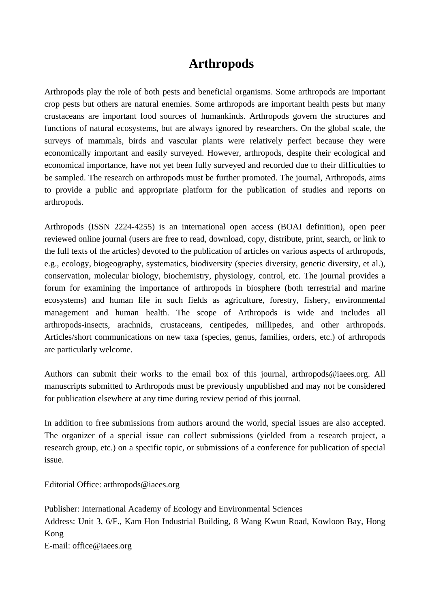## **Arthropods**

Arthropods play the role of both pests and beneficial organisms. Some arthropods are important crop pests but others are natural enemies. Some arthropods are important health pests but many crustaceans are important food sources of humankinds. Arthropods govern the structures and functions of natural ecosystems, but are always ignored by researchers. On the global scale, the surveys of mammals, birds and vascular plants were relatively perfect because they were economically important and easily surveyed. However, arthropods, despite their ecological and economical importance, have not yet been fully surveyed and recorded due to their difficulties to be sampled. The research on arthropods must be further promoted. The journal, Arthropods, aims to provide a public and appropriate platform for the publication of studies and reports on arthropods.

Arthropods (ISSN 2224-4255) is an international open access (BOAI definition), open peer reviewed online journal (users are free to read, download, copy, distribute, print, search, or link to the full texts of the articles) devoted to the publication of articles on various aspects of arthropods, e.g., ecology, biogeography, systematics, biodiversity (species diversity, genetic diversity, et al.), conservation, molecular biology, biochemistry, physiology, control, etc. The journal provides a forum for examining the importance of arthropods in biosphere (both terrestrial and marine ecosystems) and human life in such fields as agriculture, forestry, fishery, environmental management and human health. The scope of Arthropods is wide and includes all arthropods-insects, arachnids, crustaceans, centipedes, millipedes, and other arthropods. Articles/short communications on new taxa (species, genus, families, orders, etc.) of arthropods are particularly welcome.

Authors can submit their works to the email box of this journal, arthropods@iaees.org. All manuscripts submitted to Arthropods must be previously unpublished and may not be considered for publication elsewhere at any time during review period of this journal.

In addition to free submissions from authors around the world, special issues are also accepted. The organizer of a special issue can collect submissions (yielded from a research project, a research group, etc.) on a specific topic, or submissions of a conference for publication of special issue.

Editorial Office: arthropods@iaees.org

Publisher: International Academy of Ecology and Environmental Sciences Address: Unit 3, 6/F., Kam Hon Industrial Building, 8 Wang Kwun Road, Kowloon Bay, Hong Kong E-mail: office@iaees.org